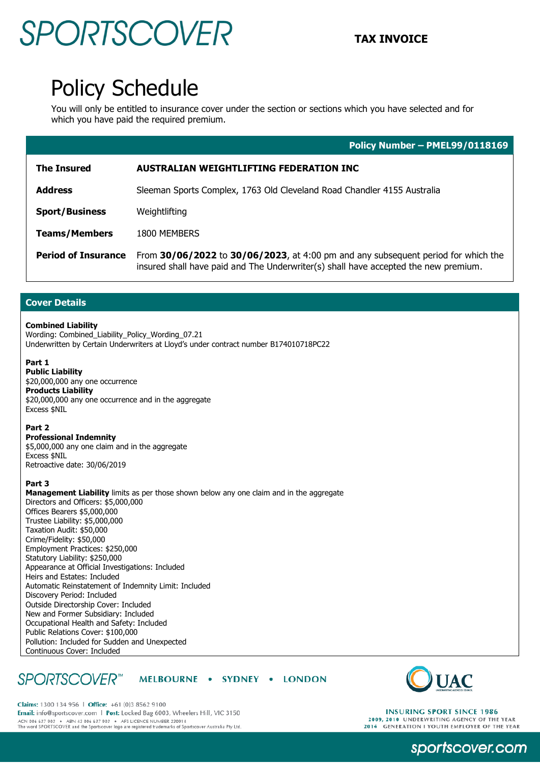## **SPORTSCOVER** TAX INVOICE

### Policy Schedule

You will only be entitled to insurance cover under the section or sections which you have selected and for which you have paid the required premium.

|                            | Policy Number - PMEL99/0118169                                                                                                                                           |
|----------------------------|--------------------------------------------------------------------------------------------------------------------------------------------------------------------------|
| <b>The Insured</b>         | AUSTRALIAN WEIGHTLIFTING FEDERATION INC                                                                                                                                  |
| <b>Address</b>             | Sleeman Sports Complex, 1763 Old Cleveland Road Chandler 4155 Australia                                                                                                  |
| <b>Sport/Business</b>      | Weightlifting                                                                                                                                                            |
| <b>Teams/Members</b>       | 1800 MEMBERS                                                                                                                                                             |
| <b>Period of Insurance</b> | From 30/06/2022 to 30/06/2023, at 4:00 pm and any subsequent period for which the<br>insured shall have paid and The Underwriter(s) shall have accepted the new premium. |

#### **Cover Details**

#### **Combined Liability**

Wording: Combined\_Liability\_Policy\_Wording\_07.21 Underwritten by Certain Underwriters at Lloyd's under contract number B174010718PC22

#### **Part 1**

**Public Liability** \$20,000,000 any one occurrence **Products Liability** \$20,000,000 any one occurrence and in the aggregate Excess \$NIL

#### **Part 2**

**Professional Indemnity** \$5,000,000 any one claim and in the aggregate Excess \$NIL Retroactive date: 30/06/2019

#### **Part 3**

**Management Liability** limits as per those shown below any one claim and in the aggregate Directors and Officers: \$5,000,000 Offices Bearers \$5,000,000 Trustee Liability: \$5,000,000 Taxation Audit: \$50,000 Crime/Fidelity: \$50,000 Employment Practices: \$250,000 Statutory Liability: \$250,000 Appearance at Official Investigations: Included Heirs and Estates: Included Automatic Reinstatement of Indemnity Limit: Included Discovery Period: Included Outside Directorship Cover: Included New and Former Subsidiary: Included Occupational Health and Safety: Included Public Relations Cover: \$100,000 Pollution: Included for Sudden and Unexpected Continuous Cover: Included

#### **SPORTSCOVER**<sup>™</sup> MELBOURNE . SYDNEY . LONDON



Claims: 1300 134 956 | Office: +61 (0)3 8562 9100 Email: info@sportscover.com | Post: Locked Bag 6003, Wheelers Hill, VIC 3150 ACN 006 637 903 ABN 43 006 637 903 AFS LICENCE NUMBER 230914<br>The word SPORTSCOVER and the Sportscover logo are registered trademarks of Sportscover Australia Pty Ltd.

### **INSURING SPORT SINCE 1986** 2009, 2010 UNDERWRITING AGENCY OF THE YEAR<br>2014 GENERATION I YOUTH EMPLOYER OF THE YEAR

sportscover.com